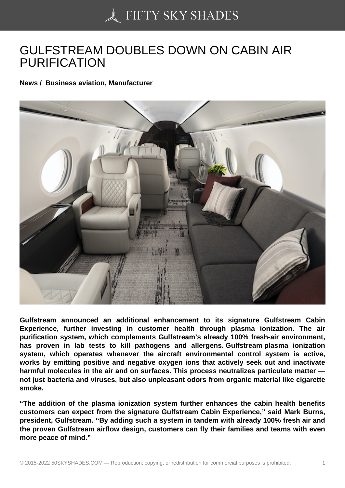## [GULFSTREAM DOUB](https://50skyshades.com)LES DOWN ON CABIN AIR PURIFICATION

News / Business aviation, Manufacturer

Gulfstream announced an additional enhancement to its signature Gulfstream Cabin Experience, further investing in customer health through plasma ionization. The air purification system, which complements Gulfstream's already 100% fresh-air environment, has proven in lab tests to kill pathogens and allergens. Gulfstream plasma ionization system, which operates whenever the aircraft environmental control system is active, works by emitting positive and negative oxygen ions that actively seek out and inactivate harmful molecules in the air and on surfaces. This process neutralizes particulate matter not just bacteria and viruses, but also unpleasant odors from organic material like cigarette smoke.

"The addition of the plasma ionization system further enhances the cabin health benefits customers can expect from the signature Gulfstream Cabin Experience," said Mark Burns, president, Gulfstream. "By adding such a system in tandem with already 100% fresh air and the proven Gulfstream airflow design, customers can fly their families and teams with even more peace of mind."